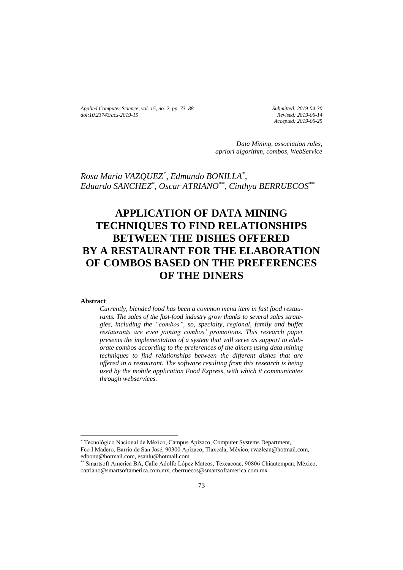*Applied Computer Science, vol. 15, no. 2, pp. 73–88 [doi:10.23743/acs-2019-15](http://acs.pollub.pl/pdf/v15n2/7.pdf)*

*Submitted: 2019-04-30 Revised: 2019-06-14 Accepted: 2019-06-25*

*Data Mining, association rules, apriori algorithm, combos, WebService*

*Rosa Maria VAZQUEZ\* , Edmundo BONILLA\* , Eduardo SANCHEZ\* , Oscar ATRIANO\*\* , Cinthya BERRUECOS\*\**

# **APPLICATION OF DATA MINING TECHNIQUES TO FIND RELATIONSHIPS BETWEEN THE DISHES OFFERED BY A RESTAURANT FOR THE ELABORATION OF COMBOS BASED ON THE PREFERENCES OF THE DINERS**

#### **Abstract**

 $\overline{\phantom{a}}$ 

*Currently, blended food has been a common menu item in fast food restaurants. The sales of the fast-food industry grow thanks to several sales strategies, including the "combos", so, specialty, regional, family and buffet restaurants are even joining combos' promotions. This research paper presents the implementation of a system that will serve as support to elaborate combos according to the preferences of the diners using data mining techniques to find relationships between the different dishes that are offered in a restaurant. The software resulting from this research is being used by the mobile application Food Express, with which it communicates through webservices.*

<sup>\*</sup> Tecnológico Nacional de México, Campus Apizaco, Computer Systems Department,

Fco I Madero, Barrio de San José, 90300 Apizaco, Tlaxcala, México, rvazlean@hotmail.com, edbonn@hotmail.com, esanlu@hotmail.com

<sup>\*\*</sup> Smartsoft America BA, Calle Adolfo López Mateos, Texcacoac, 90806 Chiautempan, México, oatriano@smartsoftamerica.com.mx, cberruecos@smartsoftamerica.com.mx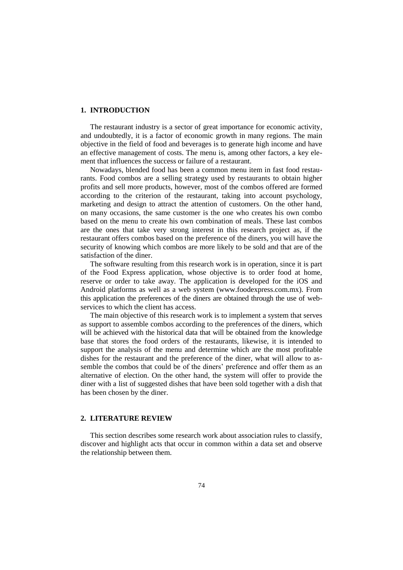## **1. INTRODUCTION**

The restaurant industry is a sector of great importance for economic activity, and undoubtedly, it is a factor of economic growth in many regions. The main objective in the field of food and beverages is to generate high income and have an effective management of costs. The menu is, among other factors, a key element that influences the success or failure of a restaurant.

Nowadays, blended food has been a common menu item in fast food restaurants. Food combos are a selling strategy used by restaurants to obtain higher profits and sell more products, however, most of the combos offered are formed according to the criterion of the restaurant, taking into account psychology, marketing and design to attract the attention of customers. On the other hand, on many occasions, the same customer is the one who creates his own combo based on the menu to create his own combination of meals. These last combos are the ones that take very strong interest in this research project as, if the restaurant offers combos based on the preference of the diners, you will have the security of knowing which combos are more likely to be sold and that are of the satisfaction of the diner.

The software resulting from this research work is in operation, since it is part of the Food Express application, whose objective is to order food at home, reserve or order to take away. The application is developed for the iOS and Android platforms as well as a web system (www.foodexpress.com.mx). From this application the preferences of the diners are obtained through the use of webservices to which the client has access.

The main objective of this research work is to implement a system that serves as support to assemble combos according to the preferences of the diners, which will be achieved with the historical data that will be obtained from the knowledge base that stores the food orders of the restaurants, likewise, it is intended to support the analysis of the menu and determine which are the most profitable dishes for the restaurant and the preference of the diner, what will allow to assemble the combos that could be of the diners' preference and offer them as an alternative of election. On the other hand, the system will offer to provide the diner with a list of suggested dishes that have been sold together with a dish that has been chosen by the diner.

## **2. LITERATURE REVIEW**

This section describes some research work about association rules to classify, discover and highlight acts that occur in common within a data set and observe the relationship between them.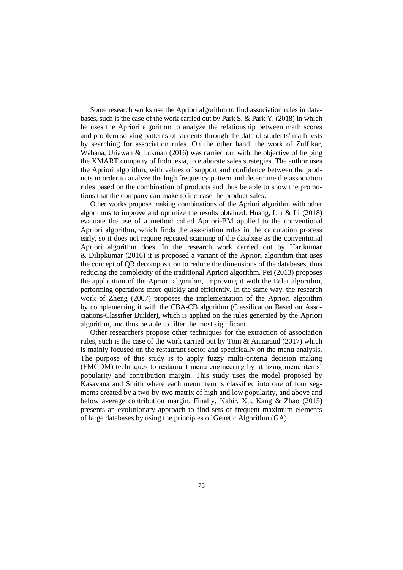Some research works use the Apriori algorithm to find association rules in databases, such is the case of the work carried out by Park S. & Park Y. (2018) in which he uses the Apriori algorithm to analyze the relationship between math scores and problem solving patterns of students through the data of students' math tests by searching for association rules. On the other hand, the work of Zulfikar, Wahana, Uriawan & Lukman (2016) was carried out with the objective of helping the XMART company of Indonesia, to elaborate sales strategies. The author uses the Apriori algorithm, with values of support and confidence between the products in order to analyze the high frequency pattern and determine the association rules based on the combination of products and thus be able to show the promotions that the company can make to increase the product sales.

Other works propose making combinations of the Apriori algorithm with other algorithms to improve and optimize the results obtained. Huang, Lin & Li (2018) evaluate the use of a method called Apriori-BM applied to the conventional Apriori algorithm, which finds the association rules in the calculation process early, so it does not require repeated scanning of the database as the conventional Apriori algorithm does. In the research work carried out by Harikumar & Dilipkumar (2016) it is proposed a variant of the Apriori algorithm that uses the concept of QR decomposition to reduce the dimensions of the databases, thus reducing the complexity of the traditional Apriori algorithm. Pei (2013) proposes the application of the Apriori algorithm, improving it with the Eclat algorithm, performing operations more quickly and efficiently. In the same way, the research work of Zheng (2007) proposes the implementation of the Apriori algorithm by complementing it with the CBA-CB algorithm (Classification Based on Associations-Classifier Builder), which is applied on the rules generated by the Apriori algorithm, and thus be able to filter the most significant.

Other researchers propose other techniques for the extraction of association rules, such is the case of the work carried out by Tom & Annaraud (2017) which is mainly focused on the restaurant sector and specifically on the menu analysis. The purpose of this study is to apply fuzzy multi-criteria decision making (FMCDM) techniques to restaurant menu engineering by utilizing menu items' popularity and contribution margin. This study uses the model proposed by Kasavana and Smith where each menu item is classified into one of four segments created by a two-by-two matrix of high and low popularity, and above and below average contribution margin. Finally, Kabir, Xu, Kang & Zhao (2015) presents an evolutionary approach to find sets of frequent maximum elements of large databases by using the principles of Genetic Algorithm (GA).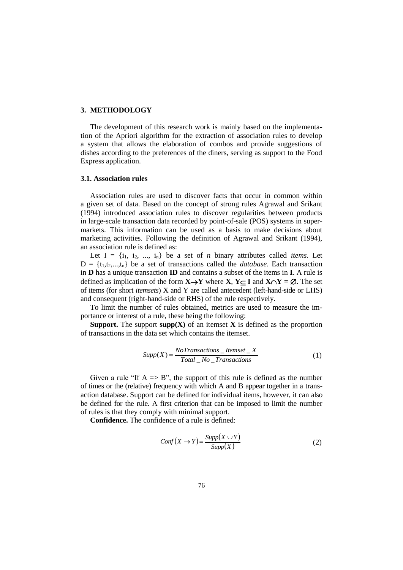#### **3. METHODOLOGY**

The development of this research work is mainly based on the implementation of the Apriori algorithm for the extraction of association rules to develop a system that allows the elaboration of combos and provide suggestions of dishes according to the preferences of the diners, serving as support to the Food Express application.

#### **3.1. Association rules**

Association rules are used to discover facts that occur in common within a given set of data. Based on the concept of strong rules Agrawal and Srikant (1994) introduced association rules to discover regularities between products in large-scale transaction data recorded by point-of-sale (POS) systems in supermarkets. This information can be used as a basis to make decisions about marketing activities. Following the definition of Agrawal and Srikant (1994), an association rule is defined as:

Let  $I = \{i_1, i_2, ..., i_n\}$  be a set of *n* binary attributes called *items*. Let  $D = \{t_1, t_2, \ldots, t_n\}$  be a set of transactions called the *database*. Each transaction in **D** has a unique transaction **ID** and contains a subset of the items in **I**. A rule is defined as implication of the form  $X \rightarrow Y$  where  $X$ ,  $Y \subseteq I$  and  $X \cap Y = \emptyset$ . The set of items (for short *itemsets*) X and Y are called antecedent (left-hand-side or LHS) and consequent (right-hand-side or RHS) of the rule respectively.

To limit the number of rules obtained, metrics are used to measure the importance or interest of a rule, these being the following:

**Support.** The support  $\text{supp}(X)$  of an itemset X is defined as the proportion of transactions in the data set which contains the itemset.

$$
Supp(X) = \frac{No Transactions \_Itemset \_X}{Total \_No \_Transactions}
$$
 (1)

Given a rule "If  $A \Rightarrow B$ ", the support of this rule is defined as the number of times or the (relative) frequency with which A and B appear together in a transaction database. Support can be defined for individual items, however, it can also be defined for the rule. A first criterion that can be imposed to limit the number of rules is that they comply with minimal support.

**Confidence.** The confidence of a rule is defined:

$$
Conf(X \to Y) = \frac{Supp(X \cup Y)}{Supp(X)}
$$
\n(2)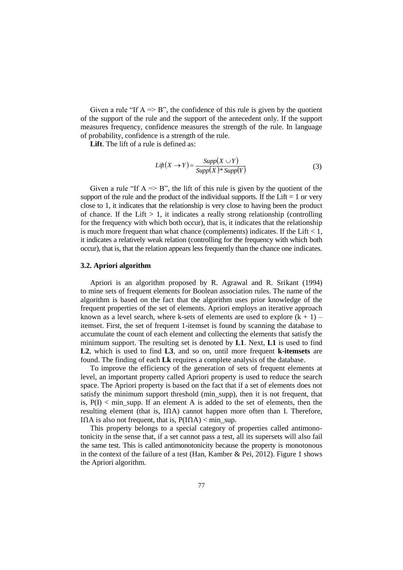Given a rule "If  $A \Rightarrow B$ ", the confidence of this rule is given by the quotient of the support of the rule and the support of the antecedent only. If the support measures frequency, confidence measures the strength of the rule. In language of probability, confidence is a strength of the rule.

**Lift**. The lift of a rule is defined as:

$$
Lift(X \to Y) = \frac{Supp(X \cup Y)}{Supp(X) * Supp(Y)}
$$
(3)

Given a rule "If  $A \Rightarrow B$ ", the lift of this rule is given by the quotient of the support of the rule and the product of the individual supports. If the Lift  $= 1$  or very close to 1, it indicates that the relationship is very close to having been the product of chance. If the Lift  $> 1$ , it indicates a really strong relationship (controlling for the frequency with which both occur), that is, it indicates that the relationship is much more frequent than what chance (complements) indicates. If the Lift  $< 1$ , it indicates a relatively weak relation (controlling for the frequency with which both occur), that is, that the relation appears less frequently than the chance one indicates.

#### **3.2. Apriori algorithm**

Apriori is an algorithm proposed by R. Agrawal and R. Srikant (1994) to mine sets of frequent elements for Boolean association rules. The name of the algorithm is based on the fact that the algorithm uses prior knowledge of the frequent properties of the set of elements. Apriori employs an iterative approach known as a level search, where k-sets of elements are used to explore  $(k + 1)$  – itemset. First, the set of frequent 1-itemset is found by scanning the database to accumulate the count of each element and collecting the elements that satisfy the minimum support. The resulting set is denoted by **L1**. Next, **L1** is used to find **L2**, which is used to find **L3**, and so on, until more frequent **k-itemsets** are found. The finding of each **Lk** requires a complete analysis of the database.

To improve the efficiency of the generation of sets of frequent elements at level, an important property called Apriori property is used to reduce the search space. The Apriori property is based on the fact that if a set of elements does not satisfy the minimum support threshold (min\_supp), then it is not frequent, that is,  $P(I)$  < min supp. If an element A is added to the set of elements, then the resulting element (that is, IՈA) cannot happen more often than I. Therefore, IOA is also not frequent, that is,  $P(IA) < min$  sup.

This property belongs to a special category of properties called antimonotonicity in the sense that, if a set cannot pass a test, all its supersets will also fail the same test. This is called antimonotonicity because the property is monotonous in the context of the failure of a test (Han, Kamber & Pei, 2012). Figure 1 shows the Apriori algorithm.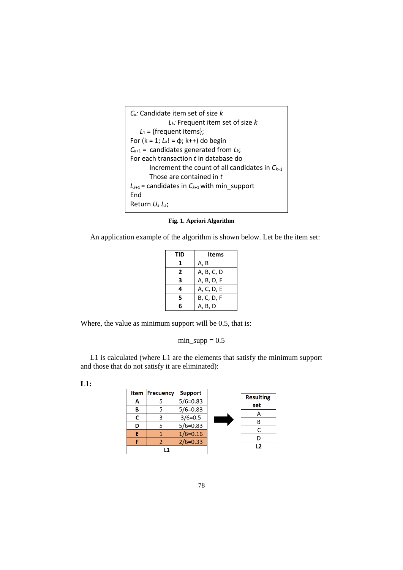| $C_k$ : Candidate item set of size k                 |
|------------------------------------------------------|
| $L_k$ : Frequent item set of size k                  |
| $L_1$ = {frequent items};                            |
| For ( $k = 1$ ; $L_k! = \phi$ ; k++) do begin        |
| $C_{k+1}$ = candidates generated from $L_k$ ;        |
| For each transaction t in database do                |
| Increment the count of all candidates in $C_{k+1}$   |
| Those are contained in t                             |
| $L_{k+1}$ = candidates in $C_{k+1}$ with min_support |
| Fnd                                                  |
| Return $U_k L_k$ ;                                   |

**Fig. 1. Apriori Algorithm**

An application example of the algorithm is shown below. Let be the item set:

| TID | Items             |
|-----|-------------------|
|     | A, B              |
| 2   | A, B, C, D        |
| 3   | A, B, D, F        |
| 4   | A, C, D, E        |
| 5   | <b>B, C, D, F</b> |
| 6   | A, B, D           |

Where, the value as minimum support will be 0.5, that is:

 $min\_supp = 0.5$ 

L1 is calculated (where L1 are the elements that satisfy the minimum support and those that do not satisfy it are eliminated):

**L1:**

|   | <b>Item Frecuency</b> | <b>Support</b> | <b>Resulting</b> |
|---|-----------------------|----------------|------------------|
| А |                       | $5/6=0.83$     | set              |
| В | 5                     | $5/6=0.83$     |                  |
| r | 3                     | $3/6=0.5$      |                  |
| D | 5                     | $5/6 = 0.83$   |                  |
|   |                       | $1/6 = 0.16$   |                  |
|   |                       | $2/6=0.33$     |                  |
|   | l 1                   |                | 12               |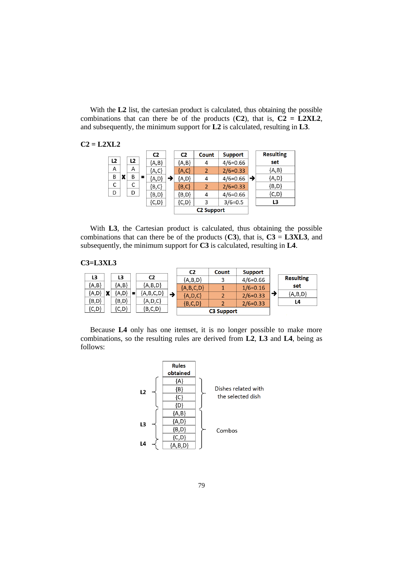With the **L2** list, the cartesian product is calculated, thus obtaining the possible combinations that can there be of the products  $(C2)$ , that is,  $C2 = L2XL2$ , and subsequently, the minimum support for **L2** is calculated, resulting in **L3**.

**C2 = L2XL2**

|                |   |                |                | C <sub>2</sub> | C <sub>2</sub> | Count             | <b>Support</b> |   | <b>Resulting</b> |
|----------------|---|----------------|----------------|----------------|----------------|-------------------|----------------|---|------------------|
| L <sub>2</sub> |   | L <sub>2</sub> |                | ${A,B}$        | ${A,B}$        | 4                 | $4/6 = 0.66$   |   | set              |
| A              |   | A              |                | ${A, C}$       | {A,C}          | $\overline{2}$    | $2/6=0.33$     |   | ${A,B}$          |
| B              | x | B              | $\blacksquare$ | ${A,D}$        | ${A,D}$        | 4                 | $4/6 = 0.66$   | → | ${A,D}$          |
| C              |   | С              |                | ${B, C}$       | $\{B, C\}$     | 2                 | $2/6 = 0.33$   |   | ${B,D}$          |
| D              |   | D              |                | $\{B,D\}$      | {B,D}          | 4                 | $4/6 = 0.66$   |   | ${C,D}$          |
|                |   |                |                | ${C, D}$       | ${C,D}$        | 3                 | $3/6=0.5$      |   | L3               |
|                |   |                |                |                |                | <b>C2 Support</b> |                |   |                  |

With **L3**, the Cartesian product is calculated, thus obtaining the possible combinations that can there be of the products  $(C3)$ , that is,  $C3 = L3XL3$ , and subsequently, the minimum support for **C3** is calculated, resulting in **L4**.

**C3=L3XL3**

|            |   |                                        |                |             |   | C <sub>2</sub> | Count             | <b>Support</b> |                  |
|------------|---|----------------------------------------|----------------|-------------|---|----------------|-------------------|----------------|------------------|
| L3         |   | L3                                     |                | C2          |   | ${A,B,D}$      |                   | $4/6=0.66$     | <b>Resulting</b> |
| ${A,B}$    |   | ${A,B}$                                |                | ${A,B,D}$   |   | ${A,B,C,D}$    |                   | $1/6 = 0.16$   | set              |
| ${A,D}$    | x | $\left\{\mathsf{A},\mathsf{D}\right\}$ | $\blacksquare$ | ${A,B,C,D}$ | → | ${A, D, C}$    |                   | $2/6=0.33$     | ${A,B,D}$        |
| $\{B,D\}$  |   | $\{B,D\}$                              |                | ${A, D, C}$ |   | ${B, C, D}$    |                   | $2/6=0.33$     | L4               |
| $\{C, D\}$ |   | $\{C,D\}$                              |                | ${B, C, D}$ |   |                | <b>C3 Support</b> |                |                  |

Because **L4** only has one itemset, it is no longer possible to make more combinations, so the resulting rules are derived from **L2**, **L3** and **L4**, being as follows:

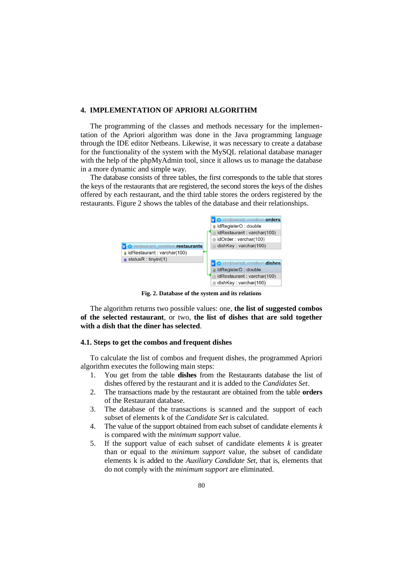## **4. IMPLEMENTATION OF APRIORI ALGORITHM**

The programming of the classes and methods necessary for the implementation of the Apriori algorithm was done in the Java programming language through the IDE editor Netbeans. Likewise, it was necessary to create a database for the functionality of the system with the MySQL relational database manager with the help of the phpMyAdmin tool, since it allows us to manage the database in a more dynamic and simple way.

The database consists of three tables, the first corresponds to the table that stores the keys of the restaurants that are registered, the second stores the keys of the dishes offered by each restaurant, and the third table stores the orders registered by the restaurants. Figure 2 shows the tables of the database and their relationships.



**Fig. 2. Database of the system and its relations**

The algorithm returns two possible values: one, **the list of suggested combos of the selected restaurant**, or two, **the list of dishes that are sold together with a dish that the diner has selected**.

#### **4.1. Steps to get the combos and frequent dishes**

To calculate the list of combos and frequent dishes, the programmed Apriori algorithm executes the following main steps:

- 1. You get from the table **dishes** from the Restaurants database the list of dishes offered by the restaurant and it is added to the *Candidates Set*.
- 2. The transactions made by the restaurant are obtained from the table **orders** of the Restaurant database.
- 3. The database of the transactions is scanned and the support of each subset of elements k of the *Candidate Set* is calculated.
- 4. The value of the support obtained from each subset of candidate elements *k* is compared with the *minimum support* value.
- 5. If the support value of each subset of candidate elements *k* is greater than or equal to the *minimum support* value, the subset of candidate elements k is added to the *Auxiliary Candidate Set*, that is, elements that do not comply with the *minimum support* are eliminated.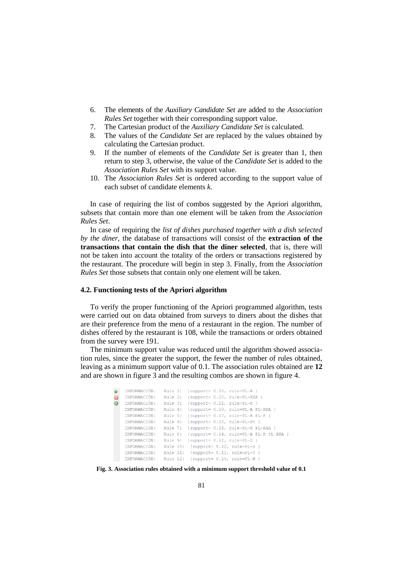- 6. The elements of the *Auxiliary Candidate Set* are added to the *Association Rules Set* together with their corresponding support value.
- 7. The Cartesian product of the *Auxiliary Candidate Set* is calculated.
- 8. The values of the *Candidate Set* are replaced by the values obtained by calculating the Cartesian product.
- 9. If the number of elements of the *Candidate Set* is greater than 1, then return to step 3, otherwise, the value of the *Candidate Set* is added to the *Association Rules Set* with its support value.
- 10. The *Association Rules Set* is ordered according to the support value of each subset of candidate elements *k*.

In case of requiring the list of combos suggested by the Apriori algorithm, subsets that contain more than one element will be taken from the *Association Rules Set*.

In case of requiring the *list of dishes purchased together with a dish selected by the diner*, the database of transactions will consist of the **extraction of the transactions that contain the dish that the diner selected**, that is, there will not be taken into account the totality of the orders or transactions registered by the restaurant. The procedure will begin in step 3. Finally, from the *Association Rules Set* those subsets that contain only one element will be taken.

#### **4.2. Functioning tests of the Apriori algorithm**

To verify the proper functioning of the Apriori programmed algorithm, tests were carried out on data obtained from surveys to diners about the dishes that are their preference from the menu of a restaurant in the region. The number of dishes offered by the restaurant is 108, while the transactions or orders obtained from the survey were 191.

The minimum support value was reduced until the algorithm showed association rules, since the greater the support, the fewer the number of rules obtained, leaving as a minimum support value of 0.1. The association rules obtained are **12** and are shown in figure 3 and the resulting combos are shown in figure 4.

```
M INFORMACIÓN: Rule 1: {support= 0.35, rule=PL-A }
INFORMACIÓN: Rule 2: (support= 0.25, rule=PL-XXA)<br>
INFORMACIÓN: Rule 3: (support= 0.21, rule=PL-K)
     INFORMACIÓN: Rule 3. (support= 0.21, fuit-film f<br>INFORMACIÓN: Rule 4: (support= 0.19, rule=PL-A PL-XXA }
     INFORMACIÓN: Rule 5: (support= 0.17, rule=PL-A PL-K }<br>INFORMACIÓN: Rule 6: (support= 0.15, rule=PL-BT }
     INFORMACIÓN: Rule 7: {support= 0.14, rule=PL-K PL-XXA }
     INFORMACIÓN: Rule 8: (support= 0.14, rule=PL-A PL-K PL-XXA }<br>INFORMACIÓN: Rule 9: (support= 0.12, rule=PL-D }
      INFORMACIÓN: Rule 10: {support= 0.12, rule=PL-G }
     INFORMACIÓN: Rule 11: (support= 0.11, rule=PL-T )<br>INFORMACIÓN: Rule 12: (support= 0.10, rule=PL-M )
```
**Fig. 3. Association rules obtained with a minimum support threshold value of 0.1**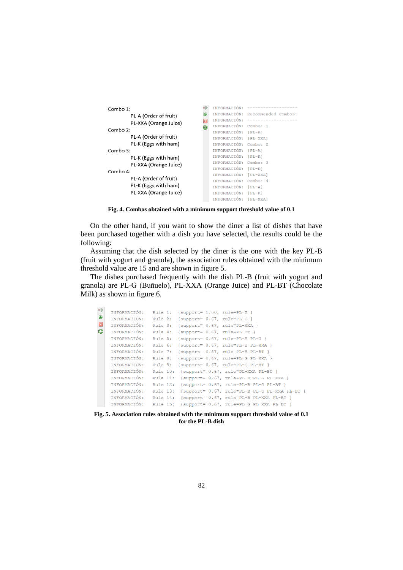```
DE INFORMACIÓN: --
Combo 1:
                                    W INFORMACIÓN: Recommended Combos:
         PL-A (Order of fruit)
                                    INFORMACIÓN: --
        PL-XXA (Orange Juice)
                                    INFORMACIÓN: Combo: 1
Combo 2:
                                        INFORMACIÓN: [PL-A]
        PL-A (Order of fruit)
                                       INFORMACIÓN: [PL-XXA]
        PL-K (Eggs with ham)
                                        INFORMACIÓN: Combo: 2
Combo 3:
                                       INFORMACIÓN: [PL-A]
                                       INFORMACIÓN: [PL-K]
         PL-K (Eggs with ham)
                                       INFORMACIÓN: Combo: 3
        PL-XXA (Orange Juice)
                                        INFORMACIÓN: [PL-K]
Combo 4:
                                        INFORMACIÓN: [PL-XXA]
         PL-A (Order of fruit)
                                        INFORMACIÓN: Combo: 4
        PL-K (Eggs with ham)
                                        INFORMACIÓN: [PL-A]
        PL-XXA (Orange Juice)
                                        INFORMACIÓN: [PL-K]
                                        INFORMACIÓN: [PL-XXA]
```
**Fig. 4. Combos obtained with a minimum support threshold value of 0.1**

On the other hand, if you want to show the diner a list of dishes that have been purchased together with a dish you have selected, the results could be the following:

Assuming that the dish selected by the diner is the one with the key PL-B (fruit with yogurt and granola), the association rules obtained with the minimum threshold value are 15 and are shown in figure 5.

The dishes purchased frequently with the dish PL-B (fruit with yogurt and granola) are PL-G (Buñuelo), PL-XXA (Orange Juice) and PL-BT (Chocolate Milk) as shown in figure 6.

| ₽₽             | INFORMACIÓN: | Rule 1: { $support= 1.00$ , $rule=PL-B$ }              |  |
|----------------|--------------|--------------------------------------------------------|--|
| $\mathfrak{p}$ | INFORMACIÓN: | Rule 2: {support= $0.67$ , rule=PL-G }                 |  |
| $\Box$         | INFORMACIÓN: | Rule 3: {support= 0.67, rule=PL-XXA }                  |  |
| 2              | INFORMACIÓN: | Rule 4: {support= 0.67, rule=PL-BT }                   |  |
|                | INFORMACIÓN: | Rule 5: {support= 0.67, rule=PL-B PL-G }               |  |
|                | INFORMACIÓN: | Rule 6: {support= 0.67, rule=PL-B PL-XXA }             |  |
|                | INFORMACIÓN: | Rule 7: {support= 0.67, rule=PL-B PL-BT }              |  |
|                | INFORMACIÓN: | Rule 8: {support= 0.67, rule=PL-G PL-XXA }             |  |
|                | INFORMACIÓN: | Rule 9: {support= 0.67, rule=PL-G PL-BT }              |  |
|                | INFORMACIÓN: | Rule 10: {support= 0.67, rule=PL-XXA PL-BT }           |  |
|                | INFORMACIÓN: | Rule 11: {support= 0.67, rule=PL-B PL-G PL-XXA }       |  |
|                | INFORMACIÓN: | Rule 12: {support= 0.67, rule=PL-B PL-G PL-BT }        |  |
|                | INFORMACIÓN: | Rule 13: {support= 0.67, rule=PL-B PL-G PL-XXA PL-BT } |  |
|                | INFORMACIÓN: | Rule 14: {support= 0.67, rule=PL-B PL-XXA PL-BT }      |  |
|                | INFORMACIÓN: | Rule 15: {support= 0.67, rule=PL-G PL-XXA PL-BT }      |  |

**Fig. 5. Association rules obtained with the minimum support threshold value of 0.1 for the PL-B dish**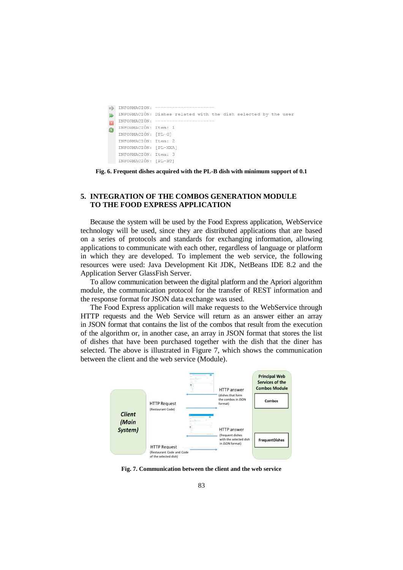```
B INFORMACION: --
N INFORMACIÓN: Dishes related with the dish selected by the user
   INFORMACIÓN: -------------------
\overline{\mathbf{u}}INFORMACIÓN: Item: 1
   INFORMACIÓN: [PL-G]
   INFORMACIÓN: Item: 2
   INFORMACIÓN: [PL-XXA]
   INFORMACIÓN: Item: 3
   INFORMACIÓN: [PL-BT]
```
**Fig. 6. Frequent dishes acquired with the PL-B dish with minimum support of 0.1**

# **5. INTEGRATION OF THE COMBOS GENERATION MODULE TO THE FOOD EXPRESS APPLICATION**

Because the system will be used by the Food Express application, WebService technology will be used, since they are distributed applications that are based on a series of protocols and standards for exchanging information, allowing applications to communicate with each other, regardless of language or platform in which they are developed. To implement the web service, the following resources were used: Java Development Kit JDK, NetBeans IDE 8.2 and the Application Server GlassFish Server.

To allow communication between the digital platform and the Apriori algorithm module, the communication protocol for the transfer of REST information and the response format for JSON data exchange was used.

The Food Express application will make requests to the WebService through HTTP requests and the Web Service will return as an answer either an array in JSON format that contains the list of the combos that result from the execution of the algorithm or, in another case, an array in JSON format that stores the list of dishes that have been purchased together with the dish that the diner has selected. The above is illustrated in Figure 7, which shows the communication between the client and the web service (Module).



**Fig. 7. Communication between the client and the web service**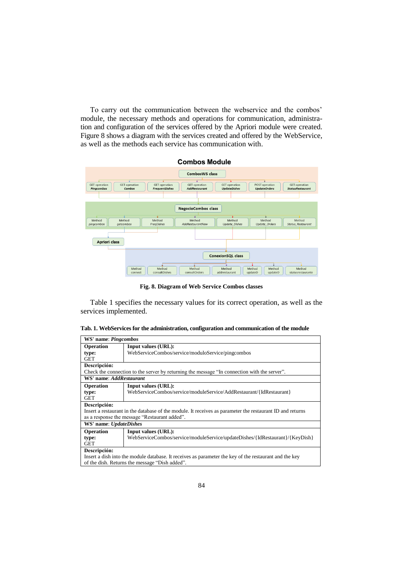To carry out the communication between the webservice and the combos' module, the necessary methods and operations for communication, administration and configuration of the services offered by the Apriori module were created. Figure 8 shows a diagram with the services created and offered by the WebService, as well as the methods each service has communication with.



**Fig. 8. Diagram of Web Service Combos classes**

Table 1 specifies the necessary values for its correct operation, as well as the services implemented.

|  |  |  |  | Tab. 1. WebServices for the administration, configuration and communication of the module |  |  |
|--|--|--|--|-------------------------------------------------------------------------------------------|--|--|
|  |  |  |  |                                                                                           |  |  |

|                                                                                                        | WS' name: Pingcombos                                                                                      |  |  |  |  |  |  |  |
|--------------------------------------------------------------------------------------------------------|-----------------------------------------------------------------------------------------------------------|--|--|--|--|--|--|--|
| Operation                                                                                              | Input values (URL):                                                                                       |  |  |  |  |  |  |  |
| type:                                                                                                  | WebServiceCombos/service/moduloService/pingcombos                                                         |  |  |  |  |  |  |  |
| <b>GET</b>                                                                                             |                                                                                                           |  |  |  |  |  |  |  |
| Descripción:                                                                                           |                                                                                                           |  |  |  |  |  |  |  |
|                                                                                                        | Check the connection to the server by returning the message "In connection with the server".              |  |  |  |  |  |  |  |
| WS' name: AddRestaurant                                                                                |                                                                                                           |  |  |  |  |  |  |  |
| Operation                                                                                              | <b>Input values (URL):</b>                                                                                |  |  |  |  |  |  |  |
| type:                                                                                                  | WebServiceCombos/service/moduleService/AddRestaurant/{IdRestaurant}                                       |  |  |  |  |  |  |  |
| <b>GET</b>                                                                                             |                                                                                                           |  |  |  |  |  |  |  |
| Descripción:                                                                                           |                                                                                                           |  |  |  |  |  |  |  |
|                                                                                                        | Insert a restaurant in the database of the module. It receives as parameter the restaurant ID and returns |  |  |  |  |  |  |  |
|                                                                                                        | as a response the message "Restaurant added".                                                             |  |  |  |  |  |  |  |
| WS' name: UpdateDishes                                                                                 |                                                                                                           |  |  |  |  |  |  |  |
| Operation                                                                                              | Input values (URL):                                                                                       |  |  |  |  |  |  |  |
| type:                                                                                                  | WebServiceCombos/service/moduleService/updateDishes/{IdRestaurant}/{KeyDish}                              |  |  |  |  |  |  |  |
| <b>GET</b>                                                                                             |                                                                                                           |  |  |  |  |  |  |  |
| Descripción:                                                                                           |                                                                                                           |  |  |  |  |  |  |  |
| Insert a dish into the module database. It receives as parameter the key of the restaurant and the key |                                                                                                           |  |  |  |  |  |  |  |
| of the dish. Returns the message "Dish added".                                                         |                                                                                                           |  |  |  |  |  |  |  |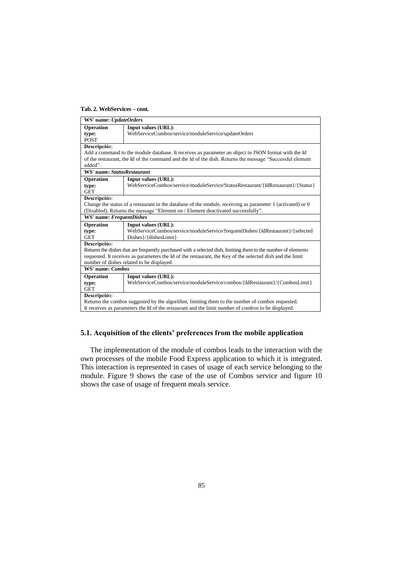## **Tab. 2. WebServices – cont.**

| WS' name: UpdateOrders                                                                             |                                                                                                                |  |  |  |  |  |  |  |
|----------------------------------------------------------------------------------------------------|----------------------------------------------------------------------------------------------------------------|--|--|--|--|--|--|--|
| Operation                                                                                          | Input values (URL):                                                                                            |  |  |  |  |  |  |  |
| type:                                                                                              | WebServiceCombos/service/moduleService/updateOrders                                                            |  |  |  |  |  |  |  |
| <b>POST</b>                                                                                        |                                                                                                                |  |  |  |  |  |  |  |
| Descripción:                                                                                       |                                                                                                                |  |  |  |  |  |  |  |
|                                                                                                    | Add a command to the module database. It receives as parameter an object in JSON format with the Id            |  |  |  |  |  |  |  |
|                                                                                                    | of the restaurant, the Id of the command and the Id of the dish. Returns the message "Successful element"      |  |  |  |  |  |  |  |
| added".                                                                                            |                                                                                                                |  |  |  |  |  |  |  |
| WS' name: StatusRestaurant                                                                         |                                                                                                                |  |  |  |  |  |  |  |
| Operation                                                                                          | Input values (URL):                                                                                            |  |  |  |  |  |  |  |
| type:                                                                                              | WebServiceCombos/service/moduleService/StatusRestaurant/{IdRestaurant}/{Status}                                |  |  |  |  |  |  |  |
| <b>GET</b>                                                                                         |                                                                                                                |  |  |  |  |  |  |  |
| Descripción:                                                                                       |                                                                                                                |  |  |  |  |  |  |  |
|                                                                                                    | Change the status of a restaurant in the database of the module, receiving as parameter 1 (activated) or $0$   |  |  |  |  |  |  |  |
|                                                                                                    | (Disabled). Returns the message "Element on / Element deactivated successfully".                               |  |  |  |  |  |  |  |
| WS' name: FrequentDishes                                                                           |                                                                                                                |  |  |  |  |  |  |  |
| <b>Operation</b>                                                                                   | Input values (URL):                                                                                            |  |  |  |  |  |  |  |
| type:                                                                                              | WebServiceCombos/service/moduleService/frequentDishes/{IdRestaurant}/{selected                                 |  |  |  |  |  |  |  |
| <b>GET</b>                                                                                         | Dishes }/{dishesLimit}                                                                                         |  |  |  |  |  |  |  |
| Descripción:                                                                                       |                                                                                                                |  |  |  |  |  |  |  |
|                                                                                                    | Returns the dishes that are frequently purchased with a selected dish, limiting them to the number of elements |  |  |  |  |  |  |  |
|                                                                                                    | requested. It receives as parameters the Id of the restaurant, the Key of the selected dish and the limit      |  |  |  |  |  |  |  |
|                                                                                                    | number of dishes related to be displayed.                                                                      |  |  |  |  |  |  |  |
| WS' name: Combos                                                                                   |                                                                                                                |  |  |  |  |  |  |  |
| Operation                                                                                          | Input values (URL):                                                                                            |  |  |  |  |  |  |  |
| type:                                                                                              | WebServiceCombos/service/moduleService/combos/{IdRestaurant}/{CombosLimit}                                     |  |  |  |  |  |  |  |
| <b>GET</b>                                                                                         |                                                                                                                |  |  |  |  |  |  |  |
| Descripción:                                                                                       |                                                                                                                |  |  |  |  |  |  |  |
| Returns the combos suggested by the algorithm, limiting them to the number of combos requested.    |                                                                                                                |  |  |  |  |  |  |  |
| It receives as parameters the Id of the restaurant and the limit number of combos to be displayed. |                                                                                                                |  |  |  |  |  |  |  |

## **5.1. Acquisition of the clients' preferences from the mobile application**

The implementation of the module of combos leads to the interaction with the own processes of the mobile Food Express application to which it is integrated. This interaction is represented in cases of usage of each service belonging to the module. Figure 9 shows the case of the use of Combos service and figure 10 shows the case of usage of frequent meals service.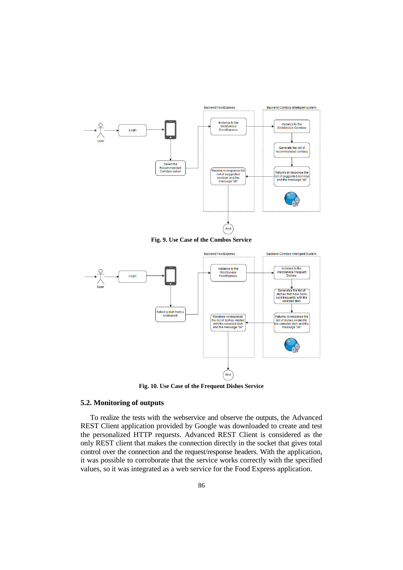

**Fig. 9. Use Case of the Combos Service**



**Fig. 10. Use Case of the Frequent Dishes Service**

# **5.2. Monitoring of outputs**

To realize the tests with the webservice and observe the outputs, the Advanced REST Client application provided by Google was downloaded to create and test the personalized HTTP requests. Advanced REST Client is considered as the only REST client that makes the connection directly in the socket that gives total control over the connection and the request/response headers. With the application, it was possible to corroborate that the service works correctly with the specified values, so it was integrated as a web service for the Food Express application.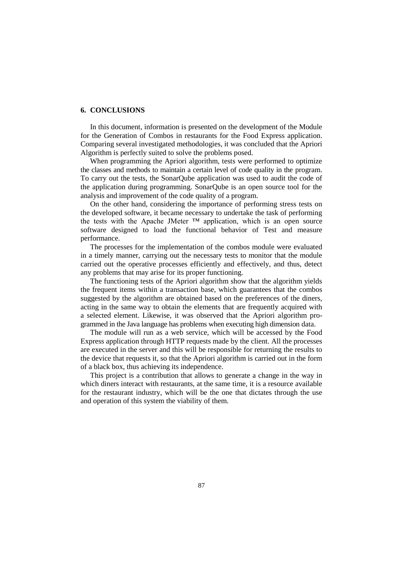## **6. CONCLUSIONS**

In this document, information is presented on the development of the Module for the Generation of Combos in restaurants for the Food Express application. Comparing several investigated methodologies, it was concluded that the Apriori Algorithm is perfectly suited to solve the problems posed.

When programming the Apriori algorithm, tests were performed to optimize the classes and methods to maintain a certain level of code quality in the program. To carry out the tests, the SonarQube application was used to audit the code of the application during programming. SonarQube is an open source tool for the analysis and improvement of the code quality of a program.

On the other hand, considering the importance of performing stress tests on the developed software, it became necessary to undertake the task of performing the tests with the Apache JMeter ™ application, which is an open source software designed to load the functional behavior of Test and measure performance.

The processes for the implementation of the combos module were evaluated in a timely manner, carrying out the necessary tests to monitor that the module carried out the operative processes efficiently and effectively, and thus, detect any problems that may arise for its proper functioning.

The functioning tests of the Apriori algorithm show that the algorithm yields the frequent items within a transaction base, which guarantees that the combos suggested by the algorithm are obtained based on the preferences of the diners, acting in the same way to obtain the elements that are frequently acquired with a selected element. Likewise, it was observed that the Apriori algorithm programmed in the Java language has problems when executing high dimension data.

The module will run as a web service, which will be accessed by the Food Express application through HTTP requests made by the client. All the processes are executed in the server and this will be responsible for returning the results to the device that requests it, so that the Apriori algorithm is carried out in the form of a black box, thus achieving its independence.

This project is a contribution that allows to generate a change in the way in which diners interact with restaurants, at the same time, it is a resource available for the restaurant industry, which will be the one that dictates through the use and operation of this system the viability of them.